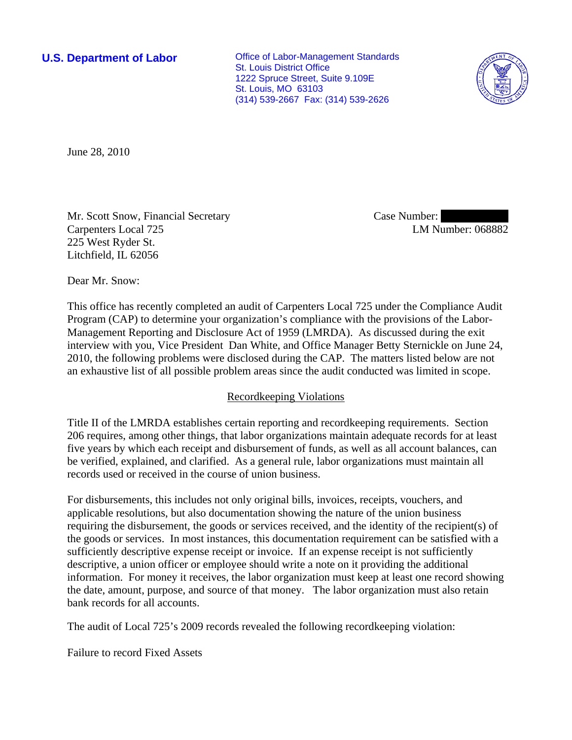**U.S. Department of Labor Conservative Conservative Conservative Conservative Conservative Conservative Conservative Conservative Conservative Conservative Conservative Conservative Conservative Conservative Conservative** St. Louis District Office 1222 Spruce Street, Suite 9.109E St. Louis, MO 63103 (314) 539-2667 Fax: (314) 539-2626



June 28, 2010

Mr. Scott Snow, Financial Secretary Carpenters Local 725 225 West Ryder St. Litchfield, IL 62056

Case Number: LM Number: 068882

Dear Mr. Snow:

This office has recently completed an audit of Carpenters Local 725 under the Compliance Audit Program (CAP) to determine your organization's compliance with the provisions of the Labor-Management Reporting and Disclosure Act of 1959 (LMRDA). As discussed during the exit interview with you, Vice President Dan White, and Office Manager Betty Sternickle on June 24, 2010, the following problems were disclosed during the CAP. The matters listed below are not an exhaustive list of all possible problem areas since the audit conducted was limited in scope.

## Recordkeeping Violations

Title II of the LMRDA establishes certain reporting and recordkeeping requirements. Section 206 requires, among other things, that labor organizations maintain adequate records for at least five years by which each receipt and disbursement of funds, as well as all account balances, can be verified, explained, and clarified. As a general rule, labor organizations must maintain all records used or received in the course of union business.

For disbursements, this includes not only original bills, invoices, receipts, vouchers, and applicable resolutions, but also documentation showing the nature of the union business requiring the disbursement, the goods or services received, and the identity of the recipient(s) of the goods or services. In most instances, this documentation requirement can be satisfied with a sufficiently descriptive expense receipt or invoice. If an expense receipt is not sufficiently descriptive, a union officer or employee should write a note on it providing the additional information. For money it receives, the labor organization must keep at least one record showing the date, amount, purpose, and source of that money. The labor organization must also retain bank records for all accounts.

The audit of Local 725's 2009 records revealed the following recordkeeping violation:

Failure to record Fixed Assets